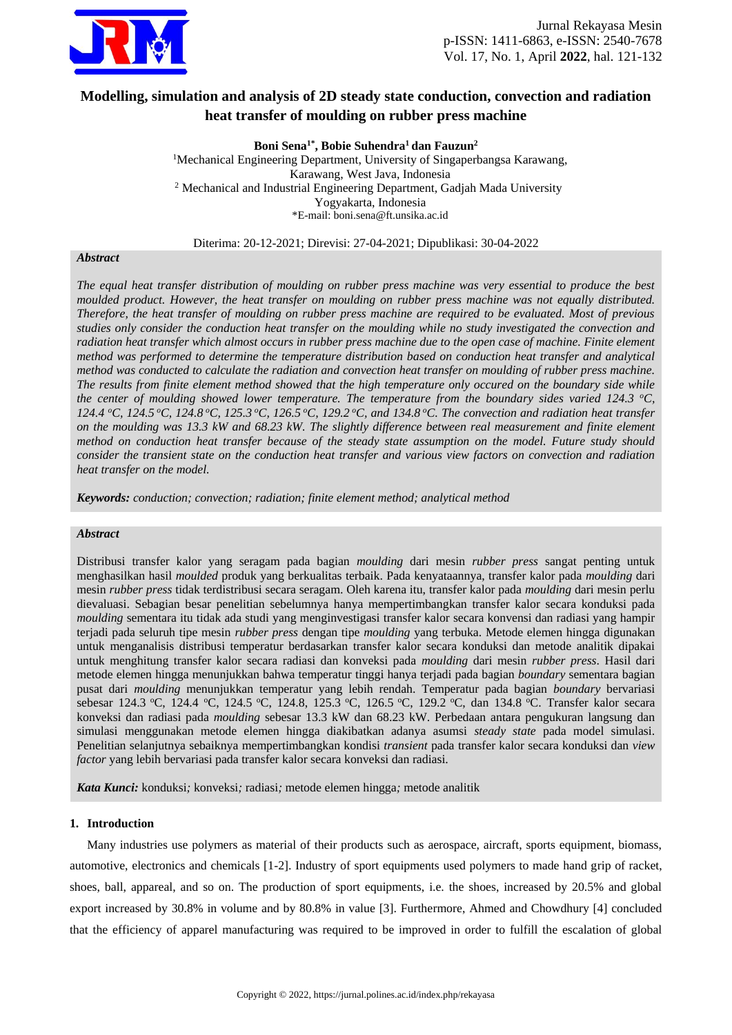

# **Modelling, simulation and analysis of 2D steady state conduction, convection and radiation heat transfer of moulding on rubber press machine**

**Boni Sena1\* , Bobie Suhendra<sup>1</sup> dan Fauzun<sup>2</sup>**

<sup>1</sup>Mechanical Engineering Department, University of Singaperbangsa Karawang, Karawang, West Java, Indonesia <sup>2</sup> Mechanical and Industrial Engineering Department, Gadjah Mada University Yogyakarta, Indonesia \*E-mail[: boni.sena@ft.unsika.ac.id](mailto:boni.sena@ft.unsika.ac.id)

Diterima: 20-12-2021; Direvisi: 27-04-2021; Dipublikasi: 30-04-2022

## *Abstract*

*The equal heat transfer distribution of moulding on rubber press machine was very essential to produce the best moulded product. However, the heat transfer on moulding on rubber press machine was not equally distributed. Therefore, the heat transfer of moulding on rubber press machine are required to be evaluated. Most of previous studies only consider the conduction heat transfer on the moulding while no study investigated the convection and radiation heat transfer which almost occurs in rubber press machine due to the open case of machine. Finite element method was performed to determine the temperature distribution based on conduction heat transfer and analytical method was conducted to calculate the radiation and convection heat transfer on moulding of rubber press machine. The results from finite element method showed that the high temperature only occured on the boundary side while the center of moulding showed lower temperature. The temperature from the boundary sides varied 124.3 <sup>o</sup>C, 124.4 <sup>o</sup>C, 124.5 <sup>o</sup>C, 124.8 <sup>o</sup>C, 125.3 <sup>o</sup>C, 126.5 <sup>o</sup>C, 129.2 <sup>o</sup>C, and 134.8 <sup>o</sup>C. The convection and radiation heat transfer on the moulding was 13.3 kW and 68.23 kW. The slightly difference between real measurement and finite element method on conduction heat transfer because of the steady state assumption on the model. Future study should consider the transient state on the conduction heat transfer and various view factors on convection and radiation heat transfer on the model.*

*Keywords: conduction; convection; radiation; finite element method; analytical method*

# *Abstract*

Distribusi transfer kalor yang seragam pada bagian *moulding* dari mesin *rubber press* sangat penting untuk menghasilkan hasil *moulded* produk yang berkualitas terbaik. Pada kenyataannya, transfer kalor pada *moulding* dari mesin *rubber press* tidak terdistribusi secara seragam. Oleh karena itu, transfer kalor pada *moulding* dari mesin perlu dievaluasi. Sebagian besar penelitian sebelumnya hanya mempertimbangkan transfer kalor secara konduksi pada *moulding* sementara itu tidak ada studi yang menginvestigasi transfer kalor secara konvensi dan radiasi yang hampir terjadi pada seluruh tipe mesin *rubber press* dengan tipe *moulding* yang terbuka. Metode elemen hingga digunakan untuk menganalisis distribusi temperatur berdasarkan transfer kalor secara konduksi dan metode analitik dipakai untuk menghitung transfer kalor secara radiasi dan konveksi pada *moulding* dari mesin *rubber press*. Hasil dari metode elemen hingga menunjukkan bahwa temperatur tinggi hanya terjadi pada bagian *boundary* sementara bagian pusat dari *moulding* menunjukkan temperatur yang lebih rendah. Temperatur pada bagian *boundary* bervariasi sebesar 124.3 °C, 124.4 °C, 124.5 °C, 124.8, 125.3 °C, 126.5 °C, 129.2 °C, dan 134.8 °C. Transfer kalor secara konveksi dan radiasi pada *moulding* sebesar 13.3 kW dan 68.23 kW. Perbedaan antara pengukuran langsung dan simulasi menggunakan metode elemen hingga diakibatkan adanya asumsi *steady state* pada model simulasi. Penelitian selanjutnya sebaiknya mempertimbangkan kondisi *transient* pada transfer kalor secara konduksi dan *view factor* yang lebih bervariasi pada transfer kalor secara konveksi dan radiasi.

*Kata Kunci:* konduksi*;* konveksi*;* radiasi*;* metode elemen hingga*;* metode analitik

# **1. Introduction**

Many industries use polymers as material of their products such as aerospace, aircraft, sports equipment, biomass, automotive, electronics and chemicals [1-2]. Industry of sport equipments used polymers to made hand grip of racket, shoes, ball, appareal, and so on. The production of sport equipments, i.e. the shoes, increased by 20.5% and global export increased by 30.8% in volume and by 80.8% in value [3]. Furthermore, Ahmed and Chowdhury [4] concluded that the efficiency of apparel manufacturing was required to be improved in order to fulfill the escalation of global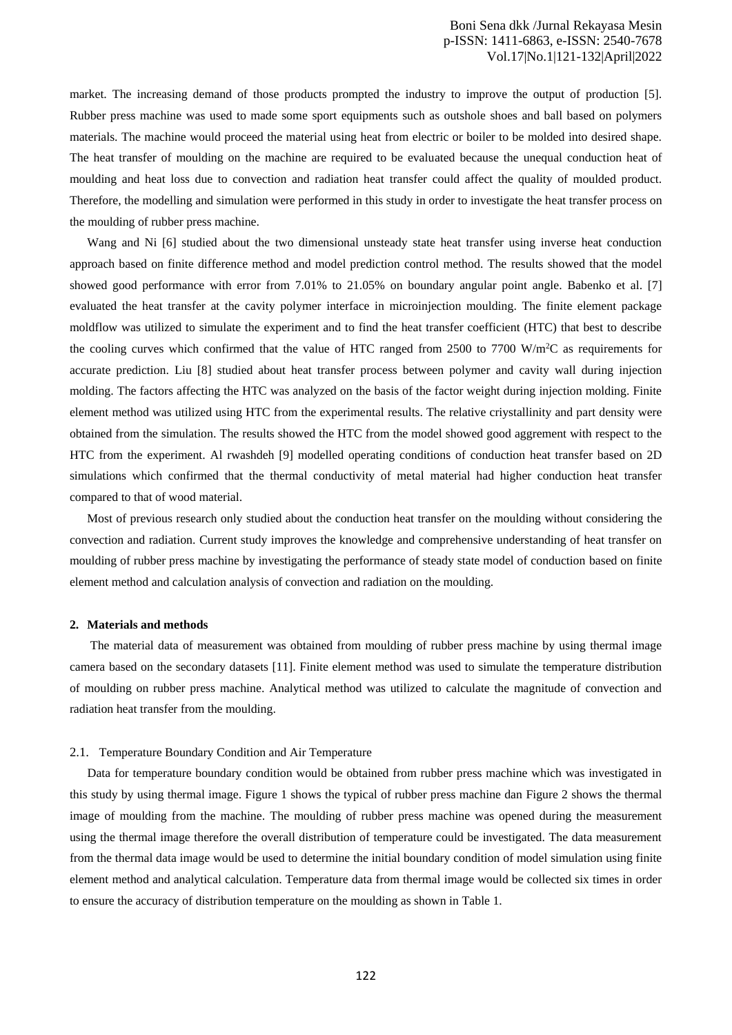market. The increasing demand of those products prompted the industry to improve the output of production [5]. Rubber press machine was used to made some sport equipments such as outshole shoes and ball based on polymers materials. The machine would proceed the material using heat from electric or boiler to be molded into desired shape. The heat transfer of moulding on the machine are required to be evaluated because the unequal conduction heat of moulding and heat loss due to convection and radiation heat transfer could affect the quality of moulded product. Therefore, the modelling and simulation were performed in this study in order to investigate the heat transfer process on the moulding of rubber press machine.

Wang and Ni [6] studied about the two dimensional unsteady state heat transfer using inverse heat conduction approach based on finite difference method and model prediction control method. The results showed that the model showed good performance with error from 7.01% to 21.05% on boundary angular point angle. Babenko et al. [7] evaluated the heat transfer at the cavity polymer interface in microinjection moulding. The finite element package moldflow was utilized to simulate the experiment and to find the heat transfer coefficient (HTC) that best to describe the cooling curves which confirmed that the value of HTC ranged from 2500 to 7700 W/m<sup>2</sup>C as requirements for accurate prediction. Liu [8] studied about heat transfer process between polymer and cavity wall during injection molding. The factors affecting the HTC was analyzed on the basis of the factor weight during injection molding. Finite element method was utilized using HTC from the experimental results. The relative criystallinity and part density were obtained from the simulation. The results showed the HTC from the model showed good aggrement with respect to the HTC from the experiment. Al rwashdeh [9] modelled operating conditions of conduction heat transfer based on 2D simulations which confirmed that the thermal conductivity of metal material had higher conduction heat transfer compared to that of wood material.

Most of previous research only studied about the conduction heat transfer on the moulding without considering the convection and radiation. Current study improves the knowledge and comprehensive understanding of heat transfer on moulding of rubber press machine by investigating the performance of steady state model of conduction based on finite element method and calculation analysis of convection and radiation on the moulding.

## **2. Materials and methods**

The material data of measurement was obtained from moulding of rubber press machine by using thermal image camera based on the secondary datasets [11]. Finite element method was used to simulate the temperature distribution of moulding on rubber press machine. Analytical method was utilized to calculate the magnitude of convection and radiation heat transfer from the moulding.

#### 2.1. Temperature Boundary Condition and Air Temperature

Data for temperature boundary condition would be obtained from rubber press machine which was investigated in this study by using thermal image. Figure 1 shows the typical of rubber press machine dan Figure 2 shows the thermal image of moulding from the machine. The moulding of rubber press machine was opened during the measurement using the thermal image therefore the overall distribution of temperature could be investigated. The data measurement from the thermal data image would be used to determine the initial boundary condition of model simulation using finite element method and analytical calculation. Temperature data from thermal image would be collected six times in order to ensure the accuracy of distribution temperature on the moulding as shown in Table 1.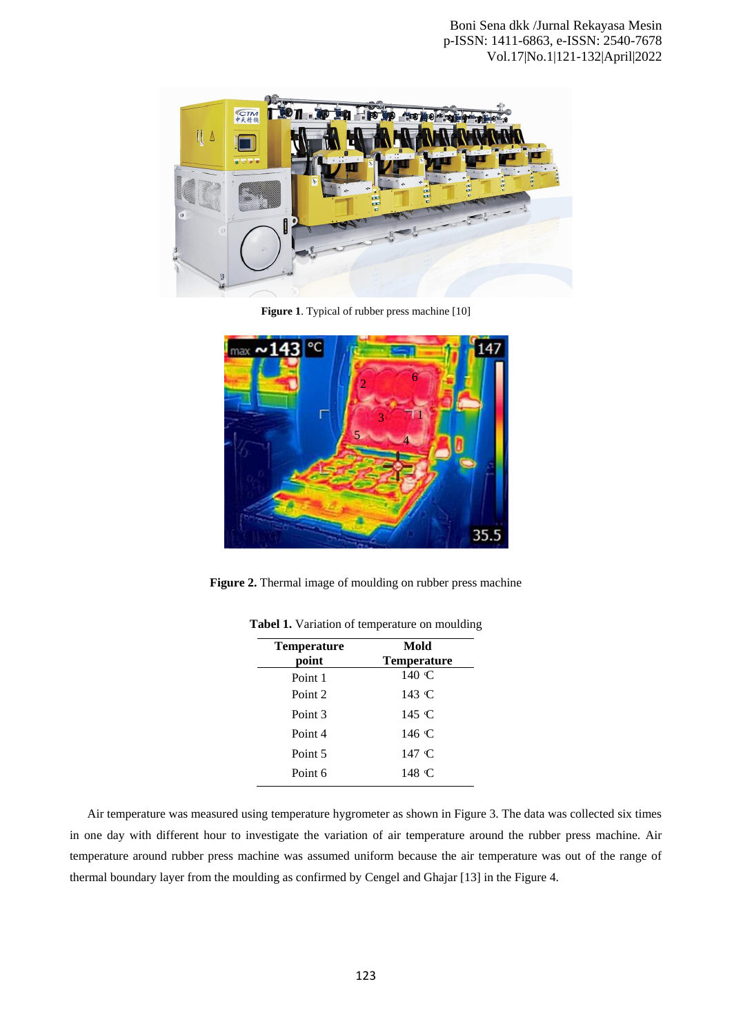

**Figure 1**. Typical of rubber press machine [10]



**Figure 2.** Thermal image of moulding on rubber press machine

| <b>Temperature</b><br>point | Mold<br><b>Temperature</b> |
|-----------------------------|----------------------------|
| Point 1                     | 140 C                      |
| Point 2                     | 143 C                      |
| Point 3                     | 145 °C                     |
| Point 4                     | 146 C                      |
| Point 5                     | 147 C                      |
| Point 6                     | 148 C                      |

**Tabel 1.** Variation of temperature on moulding

Air temperature was measured using temperature hygrometer as shown in Figure 3. The data was collected six times in one day with different hour to investigate the variation of air temperature around the rubber press machine. Air temperature around rubber press machine was assumed uniform because the air temperature was out of the range of thermal boundary layer from the moulding as confirmed by Cengel and Ghajar [13] in the Figure 4.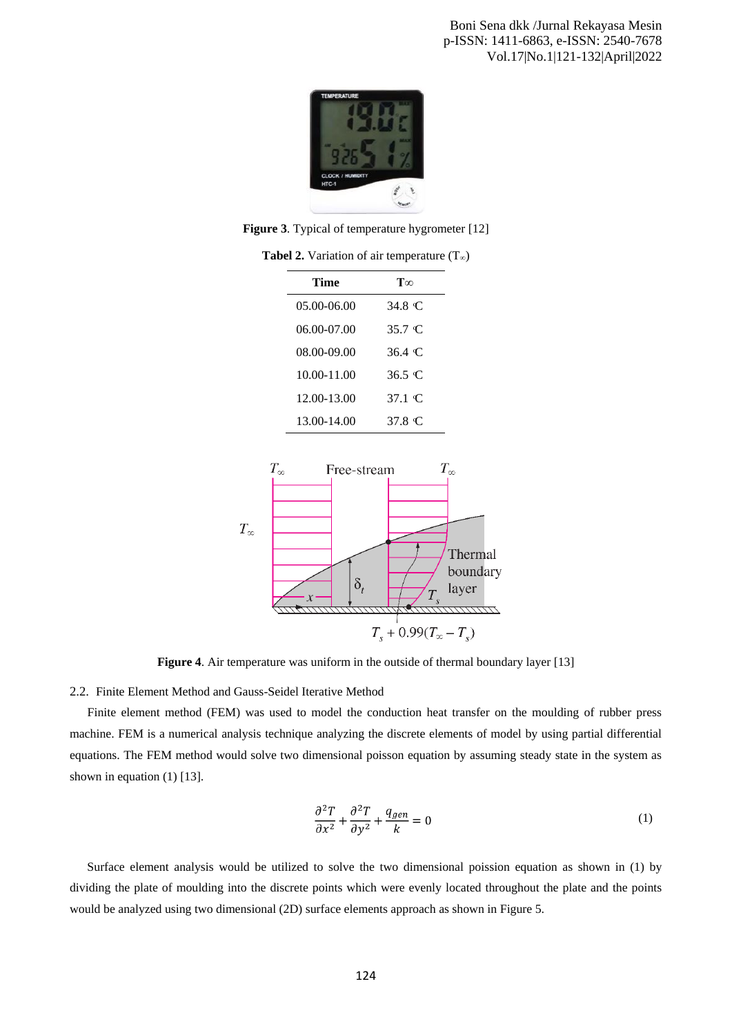

**Figure 3**. Typical of temperature hygrometer [12]

| Time        | $\mathbf{T}\infty$ |
|-------------|--------------------|
| 05.00-06.00 | 34.8 C             |
| 06.00-07.00 | 35.7 C             |
| 08.00-09.00 | 36.4 C             |
| 10.00-11.00 | 36.5 C             |
| 12.00-13.00 | 37.1 C             |
| 13.00-14.00 | 37.8 C             |

**Tabel 2.** Variation of air temperature  $(T_{\infty})$ 



**Figure 4.** Air temperature was uniform in the outside of thermal boundary layer [13]

2.2. Finite Element Method and Gauss-Seidel Iterative Method

Finite element method (FEM) was used to model the conduction heat transfer on the moulding of rubber press machine. FEM is a numerical analysis technique analyzing the discrete elements of model by using partial differential equations. The FEM method would solve two dimensional poisson equation by assuming steady state in the system as shown in equation (1) [13].

$$
\frac{\partial^2 T}{\partial x^2} + \frac{\partial^2 T}{\partial y^2} + \frac{q_{gen}}{k} = 0
$$
 (1)

Surface element analysis would be utilized to solve the two dimensional poission equation as shown in (1) by dividing the plate of moulding into the discrete points which were evenly located throughout the plate and the points would be analyzed using two dimensional (2D) surface elements approach as shown in Figure 5.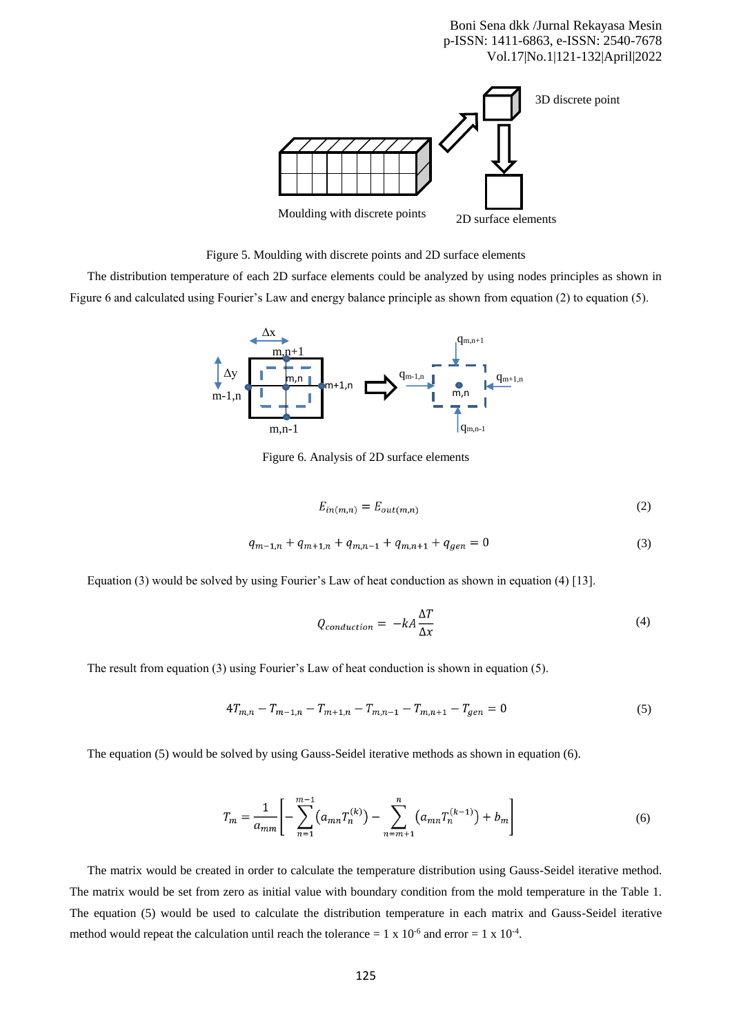Boni Sena dkk /Jurnal Rekayasa Mesin p-ISSN: 1411-6863, e-ISSN: 2540-7678 Vol.17|No.1|121-132|April|2022



Figure 5. Moulding with discrete points and 2D surface elements

The distribution temperature of each 2D surface elements could be analyzed by using nodes principles as shown in Figure 6 and calculated using Fourier's Law and energy balance principle as shown from equation (2) to equation (5).



Figure 6. Analysis of 2D surface elements

$$
E_{in(m,n)} = E_{out(m,n)}\tag{2}
$$

$$
q_{m-1,n} + q_{m+1,n} + q_{m,n-1} + q_{m,n+1} + q_{gen} = 0 \tag{3}
$$

Equation (3) would be solved by using Fourier's Law of heat conduction as shown in equation (4) [13].

$$
Q_{conduction} = -kA \frac{\Delta T}{\Delta x} \tag{4}
$$

The result from equation (3) using Fourier's Law of heat conduction is shown in equation (5).

$$
4T_{m,n} - T_{m-1,n} - T_{m+1,n} - T_{m,n-1} - T_{m,n+1} - T_{gen} = 0 \tag{5}
$$

The equation (5) would be solved by using Gauss-Seidel iterative methods as shown in equation (6).

$$
T_m = \frac{1}{a_{mm}} \left[ -\sum_{n=1}^{m-1} \left( a_{mn} T_n^{(k)} \right) - \sum_{n=m+1}^n \left( a_{mn} T_n^{(k-1)} \right) + b_m \right] \tag{6}
$$

The matrix would be created in order to calculate the temperature distribution using Gauss-Seidel iterative method. The matrix would be set from zero as initial value with boundary condition from the mold temperature in the Table 1. The equation (5) would be used to calculate the distribution temperature in each matrix and Gauss-Seidel iterative method would repeat the calculation until reach the tolerance =  $1 \times 10^{-6}$  and error =  $1 \times 10^{-4}$ .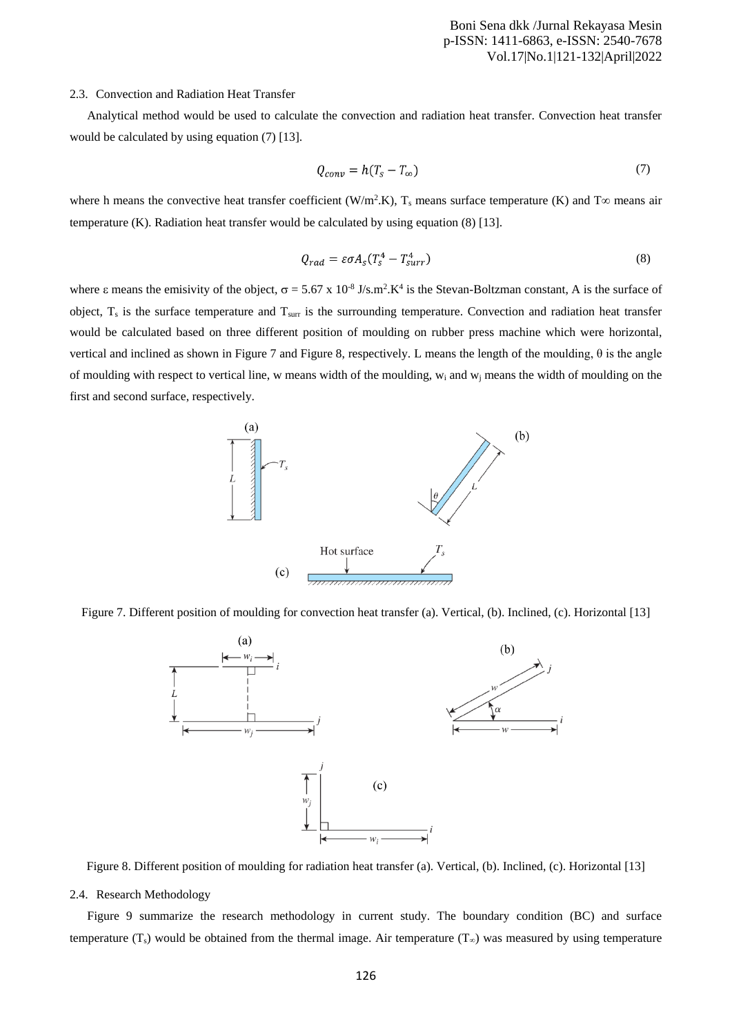#### 2.3. Convection and Radiation Heat Transfer

Analytical method would be used to calculate the convection and radiation heat transfer. Convection heat transfer would be calculated by using equation (7) [13].

$$
Q_{conv} = h(T_s - T_\infty) \tag{7}
$$

where h means the convective heat transfer coefficient (W/m<sup>2</sup>.K),  $T_s$  means surface temperature (K) and  $T\infty$  means air temperature (K). Radiation heat transfer would be calculated by using equation (8) [13].

$$
Q_{rad} = \varepsilon \sigma A_s (T_s^4 - T_{surr}^4)
$$
 (8)

where  $\varepsilon$  means the emisivity of the object,  $\sigma = 5.67 \times 10^{-8}$  J/s.m<sup>2</sup>.K<sup>4</sup> is the Stevan-Boltzman constant, A is the surface of object, T<sub>s</sub> is the surface temperature and T<sub>surr</sub> is the surrounding temperature. Convection and radiation heat transfer would be calculated based on three different position of moulding on rubber press machine which were horizontal, vertical and inclined as shown in Figure 7 and Figure 8, respectively. L means the length of the moulding, θ is the angle of moulding with respect to vertical line, w means width of the moulding,  $w_i$  and  $w_j$  means the width of moulding on the first and second surface, respectively.







Figure 8. Different position of moulding for radiation heat transfer (a). Vertical, (b). Inclined, (c). Horizontal [13]

# 2.4. Research Methodology

Figure 9 summarize the research methodology in current study. The boundary condition (BC) and surface temperature (T<sub>s</sub>) would be obtained from the thermal image. Air temperature (T<sub>∞</sub>) was measured by using temperature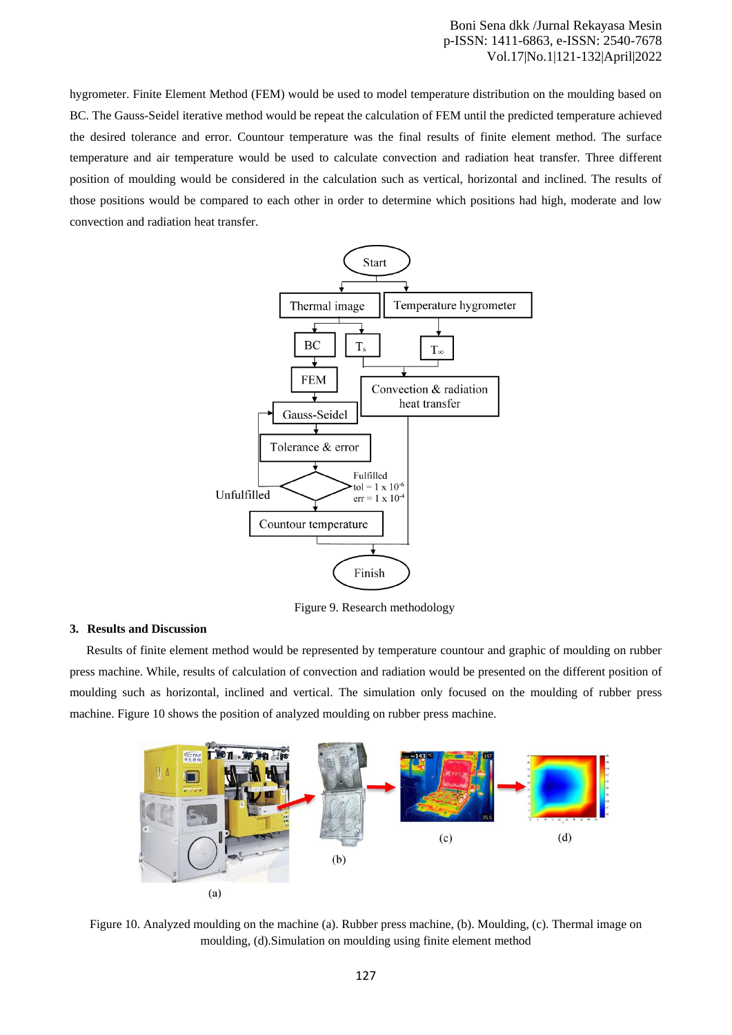Boni Sena dkk /Jurnal Rekayasa Mesin p-ISSN: 1411-6863, e-ISSN: 2540-7678 Vol.17|No.1|121-132|April|2022

hygrometer. Finite Element Method (FEM) would be used to model temperature distribution on the moulding based on BC. The Gauss-Seidel iterative method would be repeat the calculation of FEM until the predicted temperature achieved the desired tolerance and error. Countour temperature was the final results of finite element method. The surface temperature and air temperature would be used to calculate convection and radiation heat transfer. Three different position of moulding would be considered in the calculation such as vertical, horizontal and inclined. The results of those positions would be compared to each other in order to determine which positions had high, moderate and low convection and radiation heat transfer.



Figure 9. Research methodology

#### **3. Results and Discussion**

Results of finite element method would be represented by temperature countour and graphic of moulding on rubber press machine. While, results of calculation of convection and radiation would be presented on the different position of moulding such as horizontal, inclined and vertical. The simulation only focused on the moulding of rubber press machine. Figure 10 shows the position of analyzed moulding on rubber press machine.



Figure 10. Analyzed moulding on the machine (a). Rubber press machine, (b). Moulding, (c). Thermal image on moulding, (d).Simulation on moulding using finite element method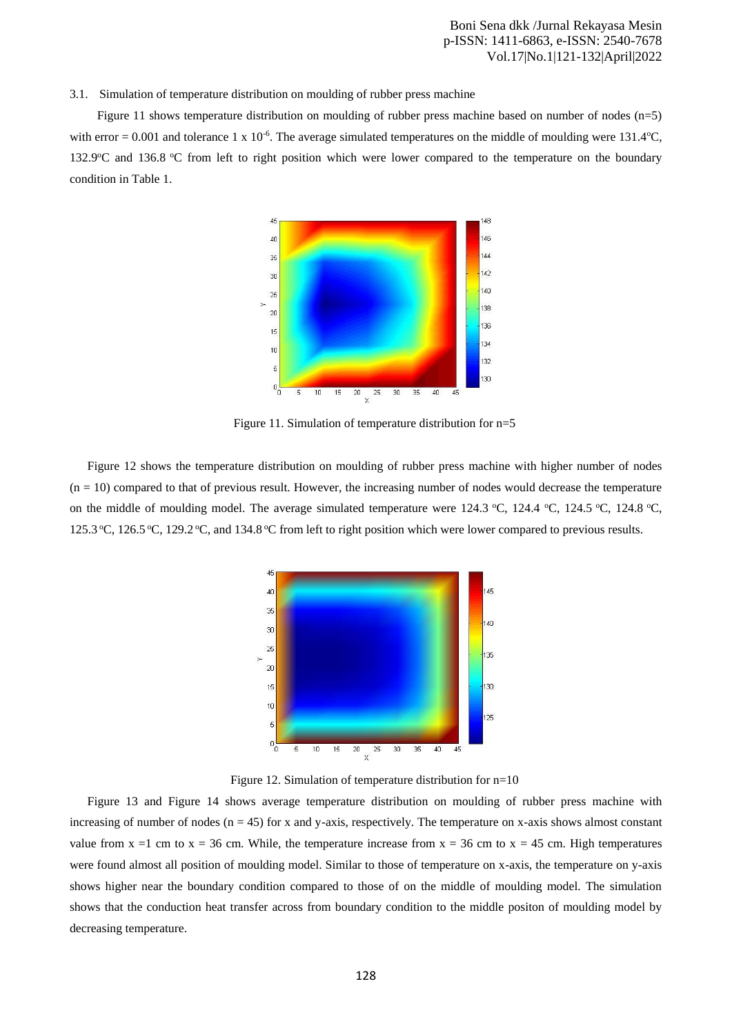#### 3.1. Simulation of temperature distribution on moulding of rubber press machine

Figure 11 shows temperature distribution on moulding of rubber press machine based on number of nodes  $(n=5)$ with error = 0.001 and tolerance 1 x 10<sup>-6</sup>. The average simulated temperatures on the middle of moulding were 131.4°C, 132.9<sup>o</sup>C and 136.8 <sup>o</sup>C from left to right position which were lower compared to the temperature on the boundary condition in Table 1.



Figure 11. Simulation of temperature distribution for n=5

Figure 12 shows the temperature distribution on moulding of rubber press machine with higher number of nodes  $(n = 10)$  compared to that of previous result. However, the increasing number of nodes would decrease the temperature on the middle of moulding model. The average simulated temperature were 124.3 °C, 124.4 °C, 124.5 °C, 124.8 °C, 125.3 °C, 126.5 °C, 129.2 °C, and 134.8 °C from left to right position which were lower compared to previous results.



Figure 12. Simulation of temperature distribution for n=10

Figure 13 and Figure 14 shows average temperature distribution on moulding of rubber press machine with increasing of number of nodes  $(n = 45)$  for x and y-axis, respectively. The temperature on x-axis shows almost constant value from  $x = 1$  cm to  $x = 36$  cm. While, the temperature increase from  $x = 36$  cm to  $x = 45$  cm. High temperatures were found almost all position of moulding model. Similar to those of temperature on x-axis, the temperature on y-axis shows higher near the boundary condition compared to those of on the middle of moulding model. The simulation shows that the conduction heat transfer across from boundary condition to the middle positon of moulding model by decreasing temperature.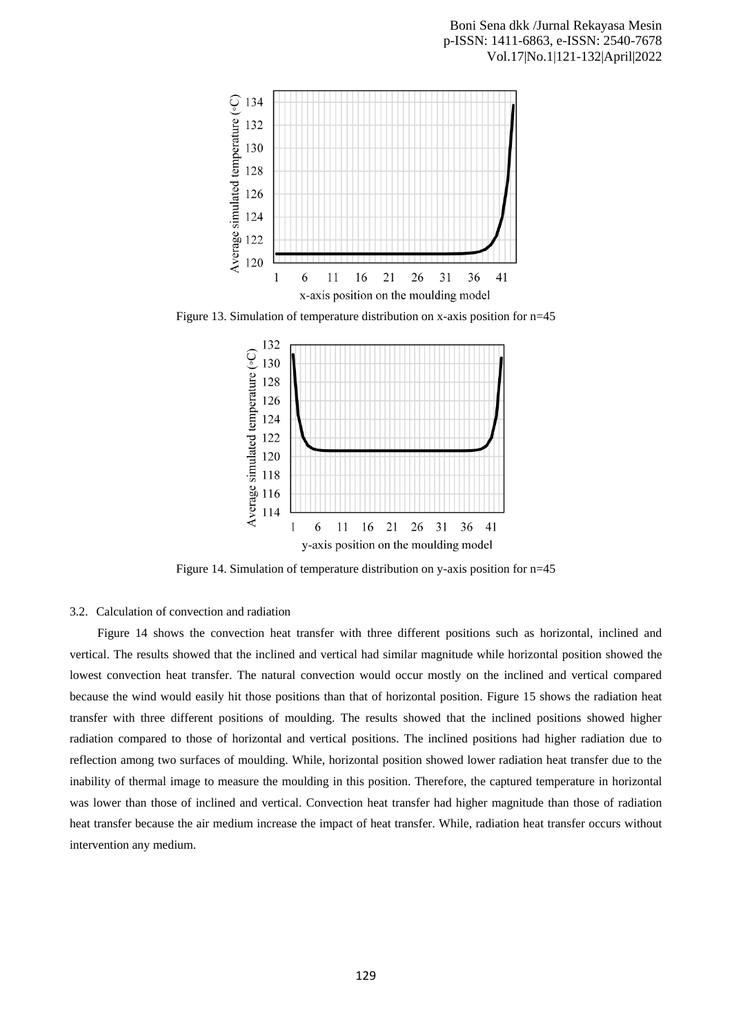

Figure 13. Simulation of temperature distribution on x-axis position for n=45



Figure 14. Simulation of temperature distribution on y-axis position for n=45

## 3.2. Calculation of convection and radiation

Figure 14 shows the convection heat transfer with three different positions such as horizontal, inclined and vertical. The results showed that the inclined and vertical had similar magnitude while horizontal position showed the lowest convection heat transfer. The natural convection would occur mostly on the inclined and vertical compared because the wind would easily hit those positions than that of horizontal position. Figure 15 shows the radiation heat transfer with three different positions of moulding. The results showed that the inclined positions showed higher radiation compared to those of horizontal and vertical positions. The inclined positions had higher radiation due to reflection among two surfaces of moulding. While, horizontal position showed lower radiation heat transfer due to the inability of thermal image to measure the moulding in this position. Therefore, the captured temperature in horizontal was lower than those of inclined and vertical. Convection heat transfer had higher magnitude than those of radiation heat transfer because the air medium increase the impact of heat transfer. While, radiation heat transfer occurs without intervention any medium.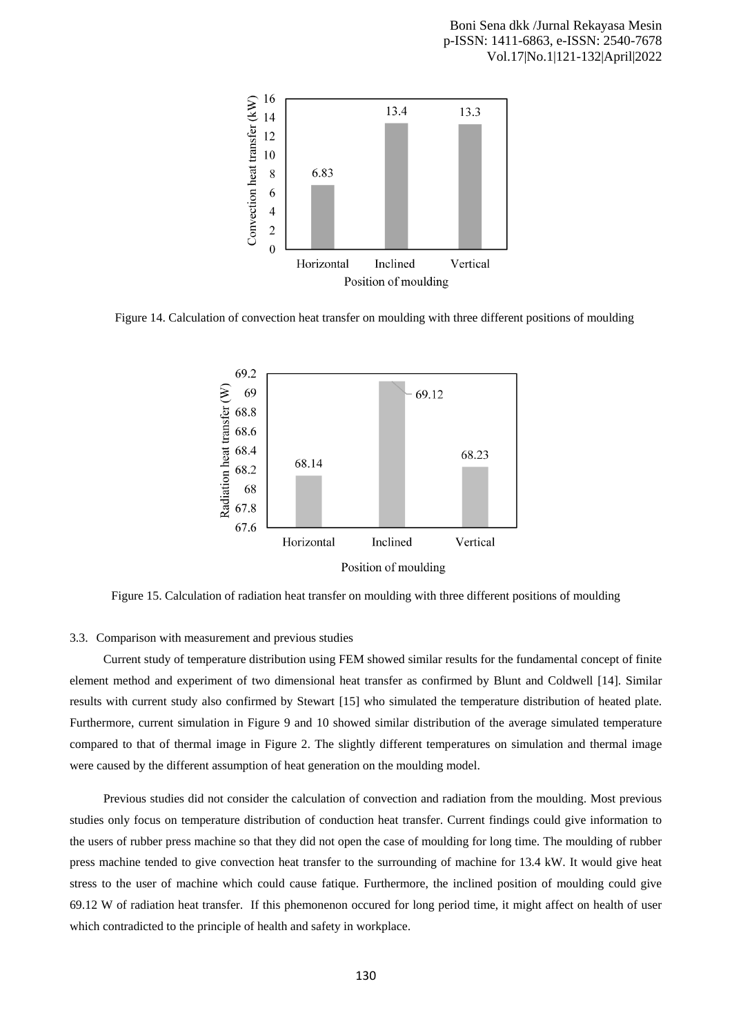

Figure 14. Calculation of convection heat transfer on moulding with three different positions of moulding



Figure 15. Calculation of radiation heat transfer on moulding with three different positions of moulding

## 3.3. Comparison with measurement and previous studies

Current study of temperature distribution using FEM showed similar results for the fundamental concept of finite element method and experiment of two dimensional heat transfer as confirmed by Blunt and Coldwell [14]. Similar results with current study also confirmed by Stewart [15] who simulated the temperature distribution of heated plate. Furthermore, current simulation in Figure 9 and 10 showed similar distribution of the average simulated temperature compared to that of thermal image in Figure 2. The slightly different temperatures on simulation and thermal image were caused by the different assumption of heat generation on the moulding model.

Previous studies did not consider the calculation of convection and radiation from the moulding. Most previous studies only focus on temperature distribution of conduction heat transfer. Current findings could give information to the users of rubber press machine so that they did not open the case of moulding for long time. The moulding of rubber press machine tended to give convection heat transfer to the surrounding of machine for 13.4 kW. It would give heat stress to the user of machine which could cause fatique. Furthermore, the inclined position of moulding could give 69.12 W of radiation heat transfer. If this phemonenon occured for long period time, it might affect on health of user which contradicted to the principle of health and safety in workplace.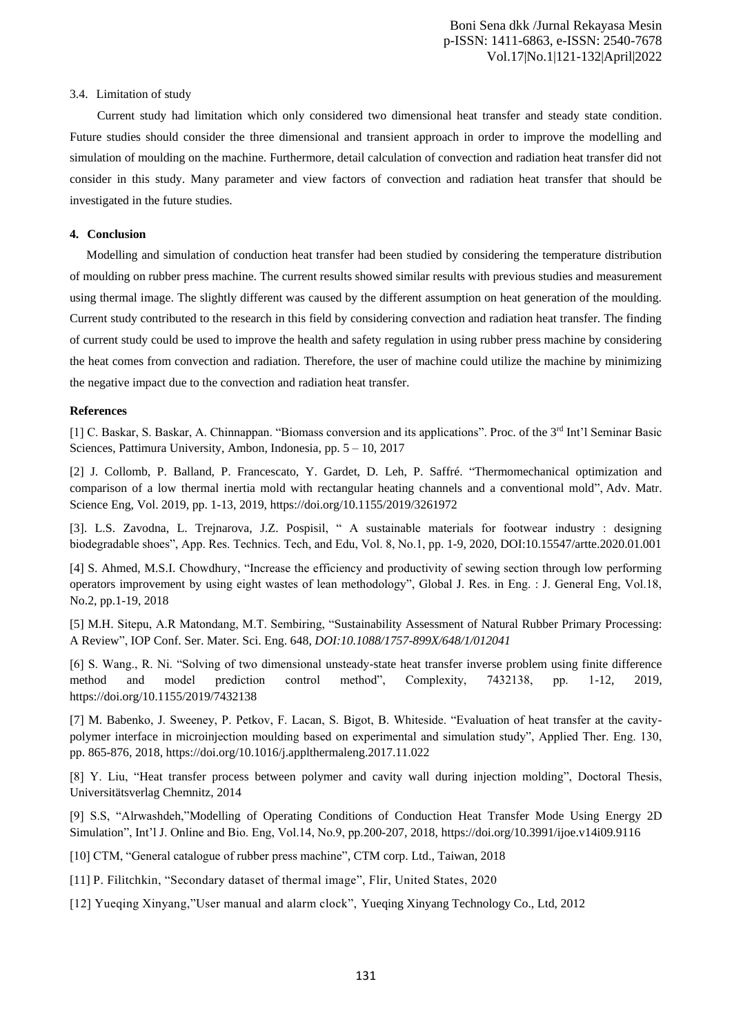## 3.4. Limitation of study

Current study had limitation which only considered two dimensional heat transfer and steady state condition. Future studies should consider the three dimensional and transient approach in order to improve the modelling and simulation of moulding on the machine. Furthermore, detail calculation of convection and radiation heat transfer did not consider in this study. Many parameter and view factors of convection and radiation heat transfer that should be investigated in the future studies.

## **4. Conclusion**

Modelling and simulation of conduction heat transfer had been studied by considering the temperature distribution of moulding on rubber press machine. The current results showed similar results with previous studies and measurement using thermal image. The slightly different was caused by the different assumption on heat generation of the moulding. Current study contributed to the research in this field by considering convection and radiation heat transfer. The finding of current study could be used to improve the health and safety regulation in using rubber press machine by considering the heat comes from convection and radiation. Therefore, the user of machine could utilize the machine by minimizing the negative impact due to the convection and radiation heat transfer.

# **References**

[1] C. Baskar, S. Baskar, A. Chinnappan. "Biomass conversion and its applications". Proc. of the 3rd Int'l Seminar Basic Sciences, Pattimura University, Ambon, Indonesia, pp. 5 – 10, 2017

[2] J. Collomb, P. Balland, P. Francescato, Y. Gardet, D. Leh, P. Saffré. "Thermomechanical optimization and comparison of a low thermal inertia mold with rectangular heating channels and a conventional mold", Adv. Matr. Science Eng, Vol. 2019, pp. 1-13, 2019[, https://doi.org/10.1155/2019/3261972](https://doi.org/10.1155/2019/3261972)

[3]. L.S. Zavodna, L. Trejnarova, J.Z. Pospisil, " A sustainable materials for footwear industry : designing biodegradable shoes", App. Res. Technics. Tech, and Edu, Vol. 8, No.1, pp. 1-9, 2020, DOI[:10.15547/artte.2020.01.001](http://dx.doi.org/10.15547/artte.2020.01.001)

[4] S. Ahmed, M.S.I. Chowdhury, "Increase the efficiency and productivity of sewing section through low performing operators improvement by using eight wastes of lean methodology", Global J. Res. in Eng. : J. General Eng, Vol.18, No.2, pp.1-19, 2018

[5] M.H. Sitepu, A.R Matondang, M.T. Sembiring, "Sustainability Assessment of Natural Rubber Primary Processing: A Review", IOP Conf. Ser. Mater. Sci. Eng. 648, *DOI[:10.1088/1757-899X/648/1/012041](http://dx.doi.org/10.1088/1757-899X/648/1/012041)*

[6] S. Wang., R. Ni. "Solving of two dimensional unsteady-state heat transfer inverse problem using finite difference method and model prediction control method", Complexity, 7432138, pp. 1-12, 2019, https://doi.org/10.1155/2019/7432138

[7] M. Babenko, J. Sweeney, P. Petkov, F. Lacan, S. Bigot, B. Whiteside. "Evaluation of heat transfer at the cavitypolymer interface in microinjection moulding based on experimental and simulation study", Applied Ther. Eng. 130, pp. 865-876, 2018,<https://doi.org/10.1016/j.applthermaleng.2017.11.022>

[8] Y. Liu, "Heat transfer process between polymer and cavity wall during injection molding", Doctoral Thesis, Universitätsverlag Chemnitz, 2014

[9] S.S, "Alrwashdeh,"Modelling of Operating Conditions of Conduction Heat Transfer Mode Using Energy 2D Simulation", Int'l J. Online and Bio. Eng, Vol.14, No.9, pp.200-207, 2018,<https://doi.org/10.3991/ijoe.v14i09.9116>

[10] CTM, "General catalogue of rubber press machine", CTM corp. Ltd., Taiwan, 2018

[11] P. Filitchkin, "Secondary dataset of thermal image", Flir, United States, 2020

[12] Yueqing Xinyang,"User manual and alarm clock", Yueqing Xinyang Technology Co., Ltd, 2012